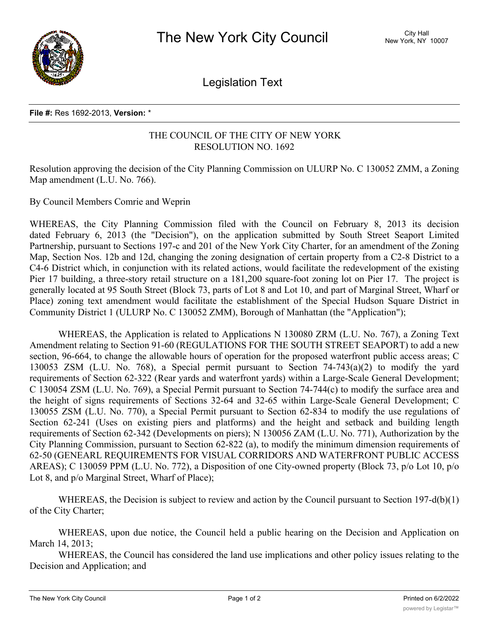

Legislation Text

## **File #:** Res 1692-2013, **Version:** \*

## THE COUNCIL OF THE CITY OF NEW YORK RESOLUTION NO. 1692

Resolution approving the decision of the City Planning Commission on ULURP No. C 130052 ZMM, a Zoning Map amendment (L.U. No. 766).

By Council Members Comrie and Weprin

WHEREAS, the City Planning Commission filed with the Council on February 8, 2013 its decision dated February 6, 2013 (the "Decision"), on the application submitted by South Street Seaport Limited Partnership, pursuant to Sections 197-c and 201 of the New York City Charter, for an amendment of the Zoning Map, Section Nos. 12b and 12d, changing the zoning designation of certain property from a C2-8 District to a C4-6 District which, in conjunction with its related actions, would facilitate the redevelopment of the existing Pier 17 building, a three-story retail structure on a 181,200 square-foot zoning lot on Pier 17. The project is generally located at 95 South Street (Block 73, parts of Lot 8 and Lot 10, and part of Marginal Street, Wharf or Place) zoning text amendment would facilitate the establishment of the Special Hudson Square District in Community District 1 (ULURP No. C 130052 ZMM), Borough of Manhattan (the "Application");

WHEREAS, the Application is related to Applications N 130080 ZRM (L.U. No. 767), a Zoning Text Amendment relating to Section 91-60 (REGULATIONS FOR THE SOUTH STREET SEAPORT) to add a new section, 96-664, to change the allowable hours of operation for the proposed waterfront public access areas; C 130053 ZSM (L.U. No. 768), a Special permit pursuant to Section 74-743(a)(2) to modify the yard requirements of Section 62-322 (Rear yards and waterfront yards) within a Large-Scale General Development; C 130054 ZSM (L.U. No. 769), a Special Permit pursuant to Section 74-744(c) to modify the surface area and the height of signs requirements of Sections 32-64 and 32-65 within Large-Scale General Development; C 130055 ZSM (L.U. No. 770), a Special Permit pursuant to Section 62-834 to modify the use regulations of Section 62-241 (Uses on existing piers and platforms) and the height and setback and building length requirements of Section 62-342 (Developments on piers); N 130056 ZAM (L.U. No. 771), Authorization by the City Planning Commission, pursuant to Section 62-822 (a), to modify the minimum dimension requirements of 62-50 (GENEARL REQUIREMENTS FOR VISUAL CORRIDORS AND WATERFRONT PUBLIC ACCESS AREAS); C 130059 PPM (L.U. No. 772), a Disposition of one City-owned property (Block 73, p/o Lot 10, p/o Lot 8, and p/o Marginal Street, Wharf of Place);

WHEREAS, the Decision is subject to review and action by the Council pursuant to Section 197-d(b)(1) of the City Charter;

WHEREAS, upon due notice, the Council held a public hearing on the Decision and Application on March 14, 2013;

WHEREAS, the Council has considered the land use implications and other policy issues relating to the Decision and Application; and